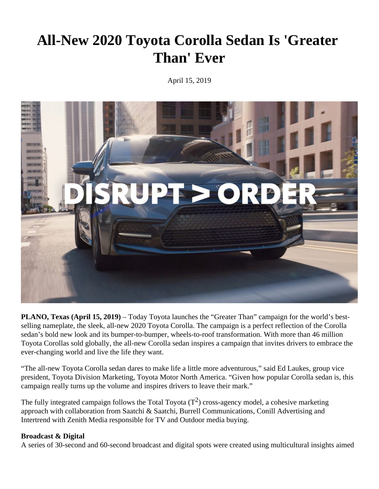## **All-New 2020 Toyota Corolla Sedan Is 'Greater Than' Ever**

April 15, 2019



**PLANO, Texas (April 15, 2019)** – Today Toyota launches the "Greater Than" campaign for the world's bestselling nameplate, the sleek, all-new 2020 Toyota Corolla. The campaign is a perfect reflection of the Corolla sedan's bold new look and its bumper-to-bumper, wheels-to-roof transformation. With more than 46 million Toyota Corollas sold globally, the all-new Corolla sedan inspires a campaign that invites drivers to embrace the ever-changing world and live the life they want.

"The all-new Toyota Corolla sedan dares to make life a little more adventurous," said Ed Laukes, group vice president, Toyota Division Marketing, Toyota Motor North America. "Given how popular Corolla sedan is, this campaign really turns up the volume and inspires drivers to leave their mark."

The fully integrated campaign follows the Total Toyota  $(T^2)$  cross-agency model, a cohesive marketing approach with collaboration from Saatchi & Saatchi, Burrell Communications, Conill Advertising and Intertrend with Zenith Media responsible for TV and Outdoor media buying.

## **Broadcast & Digital**

A series of 30-second and 60-second broadcast and digital spots were created using multicultural insights aimed